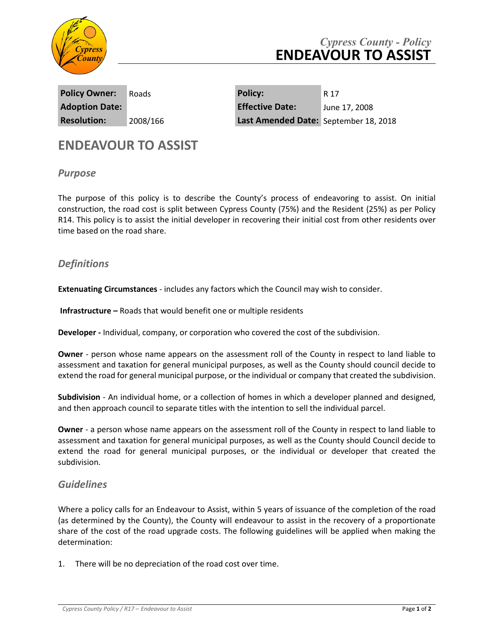

# *Cypress County - Policy* **ENDEAVOUR TO ASSIST**

**Policy Owner:** Roads **Policy:** R 17

**Adoption Date: Effective Date:** June 17, 2008 **Resolution:** 2008/166 **Last Amended Date:** September 18, 2018

# **ENDEAVOUR TO ASSIST**

## *Purpose*

The purpose of this policy is to describe the County's process of endeavoring to assist. On initial construction, the road cost is split between Cypress County (75%) and the Resident (25%) as per Policy R14. This policy is to assist the initial developer in recovering their initial cost from other residents over time based on the road share.

# *Definitions*

**Extenuating Circumstances** - includes any factors which the Council may wish to consider.

**Infrastructure –** Roads that would benefit one or multiple residents

**Developer -** Individual, company, or corporation who covered the cost of the subdivision.

**Owner** - person whose name appears on the assessment roll of the County in respect to land liable to assessment and taxation for general municipal purposes, as well as the County should council decide to extend the road for general municipal purpose, or the individual or company that created the subdivision.

**Subdivision** - An individual home, or a collection of homes in which a developer planned and designed, and then approach council to separate titles with the intention to sell the individual parcel.

**Owner** - a person whose name appears on the assessment roll of the County in respect to land liable to assessment and taxation for general municipal purposes, as well as the County should Council decide to extend the road for general municipal purposes, or the individual or developer that created the subdivision.

## *Guidelines*

Where a policy calls for an Endeavour to Assist, within 5 years of issuance of the completion of the road (as determined by the County), the County will endeavour to assist in the recovery of a proportionate share of the cost of the road upgrade costs. The following guidelines will be applied when making the determination:

1. There will be no depreciation of the road cost over time.